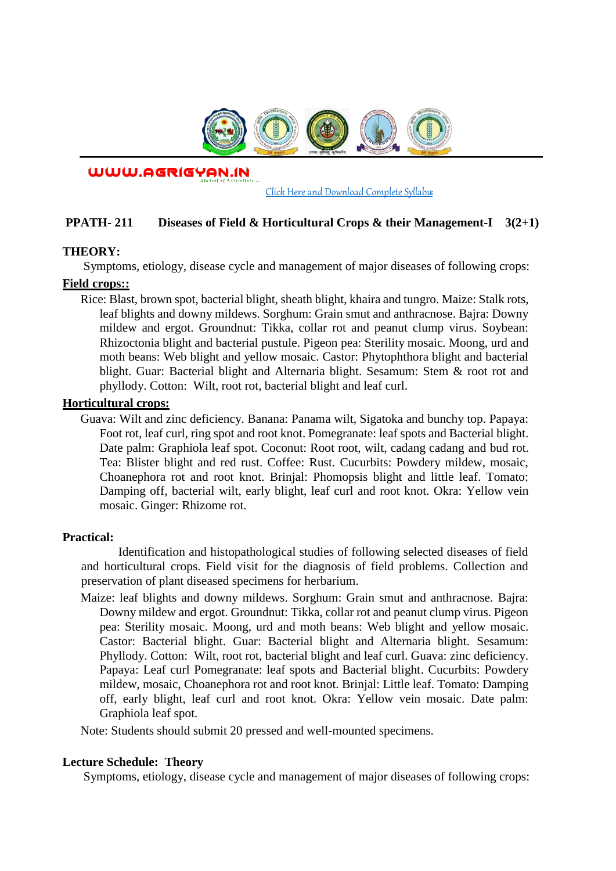

WWW.AGRIGYAN.IN

[Click Here and Download Complete Syllabus](http://agrigyan.in/)

## **PPATH- 211 Diseases of Field & Horticultural Crops & their Management-I 3(2+1)**

### **THEORY:**

 $\overline{a}$ 

Symptoms, etiology, disease cycle and management of major diseases of following crops:

### **Field crops::**

Rice: Blast, brown spot, bacterial blight, sheath blight, khaira and tungro. Maize: Stalk rots, leaf blights and downy mildews. Sorghum: Grain smut and anthracnose. Bajra: Downy mildew and ergot. Groundnut: Tikka, collar rot and peanut clump virus. Soybean: Rhizoctonia blight and bacterial pustule. Pigeon pea: Sterility mosaic. Moong, urd and moth beans: Web blight and yellow mosaic. Castor: Phytophthora blight and bacterial blight. Guar: Bacterial blight and Alternaria blight. Sesamum: Stem & root rot and phyllody. Cotton: Wilt, root rot, bacterial blight and leaf curl.

### **Horticultural crops:**

Guava: Wilt and zinc deficiency. Banana: Panama wilt, Sigatoka and bunchy top. Papaya: Foot rot, leaf curl, ring spot and root knot. Pomegranate: leaf spots and Bacterial blight. Date palm: Graphiola leaf spot. Coconut: Root root, wilt, cadang cadang and bud rot. Tea: Blister blight and red rust. Coffee: Rust. Cucurbits: Powdery mildew, mosaic, Choanephora rot and root knot. Brinjal: Phomopsis blight and little leaf. Tomato: Damping off, bacterial wilt, early blight, leaf curl and root knot. Okra: Yellow vein mosaic. Ginger: Rhizome rot.

### **Practical:**

Identification and histopathological studies of following selected diseases of field and horticultural crops. Field visit for the diagnosis of field problems. Collection and preservation of plant diseased specimens for herbarium.

Maize: leaf blights and downy mildews. Sorghum: Grain smut and anthracnose. Bajra: Downy mildew and ergot. Groundnut: Tikka, collar rot and peanut clump virus. Pigeon pea: Sterility mosaic. Moong, urd and moth beans: Web blight and yellow mosaic. Castor: Bacterial blight. Guar: Bacterial blight and Alternaria blight. Sesamum: Phyllody. Cotton: Wilt, root rot, bacterial blight and leaf curl. Guava: zinc deficiency. Papaya: Leaf curl Pomegranate: leaf spots and Bacterial blight. Cucurbits: Powdery mildew, mosaic, Choanephora rot and root knot. Brinjal: Little leaf. Tomato: Damping off, early blight, leaf curl and root knot. Okra: Yellow vein mosaic. Date palm: Graphiola leaf spot.

Note: Students should submit 20 pressed and well-mounted specimens.

### **Lecture Schedule: Theory**

Symptoms, etiology, disease cycle and management of major diseases of following crops: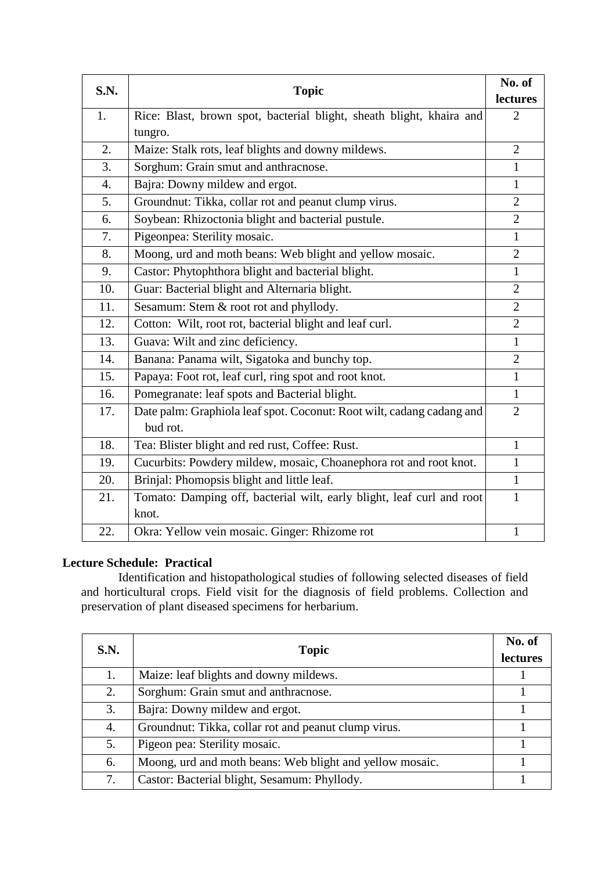| S.N.             | <b>Topic</b>                                                          | No. of         |
|------------------|-----------------------------------------------------------------------|----------------|
|                  |                                                                       | lectures       |
| 1.               | Rice: Blast, brown spot, bacterial blight, sheath blight, khaira and  | $\overline{2}$ |
|                  | tungro.                                                               |                |
| 2.               | Maize: Stalk rots, leaf blights and downy mildews.                    | $\overline{2}$ |
| 3.               | Sorghum: Grain smut and anthracnose.                                  | $\mathbf{1}$   |
| $\overline{4}$ . | Bajra: Downy mildew and ergot.                                        | $\mathbf{1}$   |
| 5.               | Groundnut: Tikka, collar rot and peanut clump virus.                  | $\overline{2}$ |
| 6.               | Soybean: Rhizoctonia blight and bacterial pustule.                    | $\overline{2}$ |
| 7.               | Pigeonpea: Sterility mosaic.                                          | $\mathbf{1}$   |
| 8.               | Moong, urd and moth beans: Web blight and yellow mosaic.              | $\overline{2}$ |
| 9.               | Castor: Phytophthora blight and bacterial blight.                     | $\mathbf{1}$   |
| 10.              | Guar: Bacterial blight and Alternaria blight.                         | $\overline{2}$ |
| 11.              | Sesamum: Stem & root rot and phyllody.                                | $\overline{2}$ |
| 12.              | Cotton: Wilt, root rot, bacterial blight and leaf curl.               | $\overline{2}$ |
| 13.              | Guava: Wilt and zinc deficiency.                                      | 1              |
| 14.              | Banana: Panama wilt, Sigatoka and bunchy top.                         | $\overline{2}$ |
| 15.              | Papaya: Foot rot, leaf curl, ring spot and root knot.                 | $\mathbf{1}$   |
| 16.              | Pomegranate: leaf spots and Bacterial blight.                         | $\mathbf{1}$   |
| 17.              | Date palm: Graphiola leaf spot. Coconut: Root wilt, cadang cadang and | $\overline{2}$ |
|                  | bud rot.                                                              |                |
| 18.              | Tea: Blister blight and red rust, Coffee: Rust.                       | $\mathbf{1}$   |
| 19.              | Cucurbits: Powdery mildew, mosaic, Choanephora rot and root knot.     | $\mathbf{1}$   |
| 20.              | Brinjal: Phomopsis blight and little leaf.                            | 1              |
| 21.              | Tomato: Damping off, bacterial wilt, early blight, leaf curl and root | $\mathbf{1}$   |
|                  | knot.                                                                 |                |
| 22.              | Okra: Yellow vein mosaic. Ginger: Rhizome rot                         | $\mathbf{1}$   |

# **Lecture Schedule: Practical**

Identification and histopathological studies of following selected diseases of field and horticultural crops. Field visit for the diagnosis of field problems. Collection and preservation of plant diseased specimens for herbarium.

| S.N. | <b>Topic</b>                                             | No. of<br>lectures |
|------|----------------------------------------------------------|--------------------|
| 1.   | Maize: leaf blights and downy mildews.                   |                    |
| 2.   | Sorghum: Grain smut and anthracnose.                     |                    |
| 3.   | Bajra: Downy mildew and ergot.                           |                    |
| 4.   | Groundnut: Tikka, collar rot and peanut clump virus.     |                    |
| 5.   | Pigeon pea: Sterility mosaic.                            |                    |
| 6.   | Moong, urd and moth beans: Web blight and yellow mosaic. |                    |
| 7.   | Castor: Bacterial blight, Sesamum: Phyllody.             |                    |